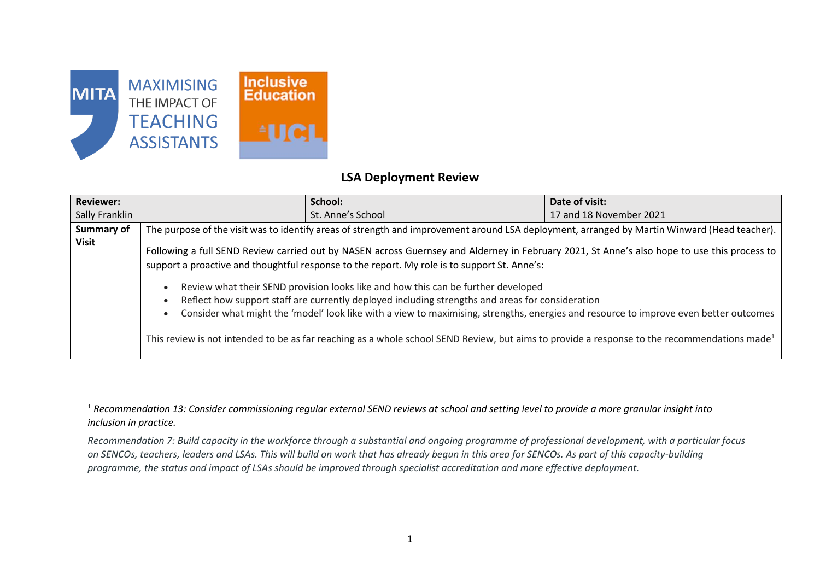

 $\overline{a}$ 

## **LSA Deployment Review**

| <b>Reviewer:</b>  | School:                                                                                                                                                                                                                                                                                                                                                                                                                                                                                                                                                                                                                                                                                                                                   | Date of visit:          |
|-------------------|-------------------------------------------------------------------------------------------------------------------------------------------------------------------------------------------------------------------------------------------------------------------------------------------------------------------------------------------------------------------------------------------------------------------------------------------------------------------------------------------------------------------------------------------------------------------------------------------------------------------------------------------------------------------------------------------------------------------------------------------|-------------------------|
| Sally Franklin    | St. Anne's School                                                                                                                                                                                                                                                                                                                                                                                                                                                                                                                                                                                                                                                                                                                         | 17 and 18 November 2021 |
| <b>Summary of</b> | The purpose of the visit was to identify areas of strength and improvement around LSA deployment, arranged by Martin Winward (Head teacher).                                                                                                                                                                                                                                                                                                                                                                                                                                                                                                                                                                                              |                         |
| Visit             | Following a full SEND Review carried out by NASEN across Guernsey and Alderney in February 2021, St Anne's also hope to use this process to<br>support a proactive and thoughtful response to the report. My role is to support St. Anne's:<br>Review what their SEND provision looks like and how this can be further developed<br>Reflect how support staff are currently deployed including strengths and areas for consideration<br>Consider what might the 'model' look like with a view to maximising, strengths, energies and resource to improve even better outcomes<br>This review is not intended to be as far reaching as a whole school SEND Review, but aims to provide a response to the recommendations made <sup>1</sup> |                         |

<sup>1</sup> *Recommendation 13: Consider commissioning regular external SEND reviews at school and setting level to provide a more granular insight into inclusion in practice.*

*Recommendation 7: Build capacity in the workforce through a substantial and ongoing programme of professional development, with a particular focus on SENCOs, teachers, leaders and LSAs. This will build on work that has already begun in this area for SENCOs. As part of this capacity-building programme, the status and impact of LSAs should be improved through specialist accreditation and more effective deployment.*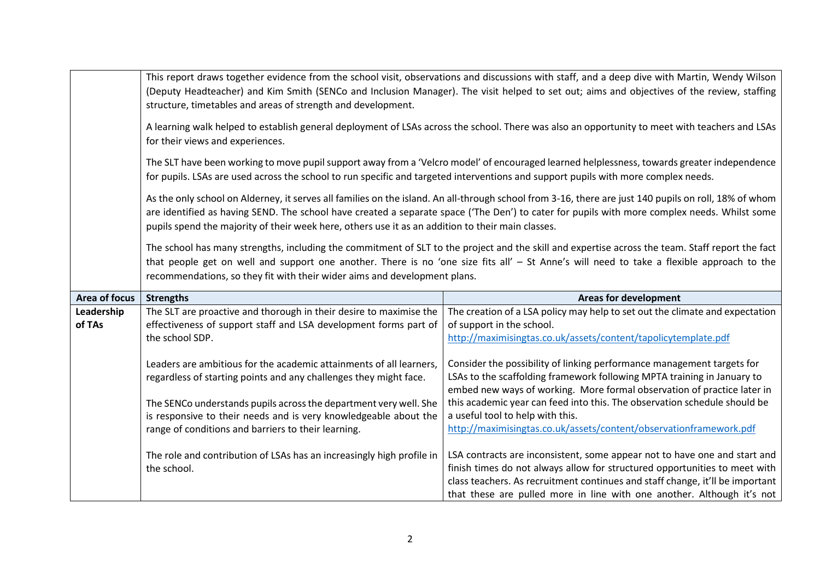|               |                                                                                                                                    | This report draws together evidence from the school visit, observations and discussions with staff, and a deep dive with Martin, Wendy Wilson           |  |
|---------------|------------------------------------------------------------------------------------------------------------------------------------|---------------------------------------------------------------------------------------------------------------------------------------------------------|--|
|               |                                                                                                                                    | (Deputy Headteacher) and Kim Smith (SENCo and Inclusion Manager). The visit helped to set out; aims and objectives of the review, staffing              |  |
|               | structure, timetables and areas of strength and development.                                                                       |                                                                                                                                                         |  |
|               |                                                                                                                                    |                                                                                                                                                         |  |
|               |                                                                                                                                    | A learning walk helped to establish general deployment of LSAs across the school. There was also an opportunity to meet with teachers and LSAs          |  |
|               | for their views and experiences.                                                                                                   |                                                                                                                                                         |  |
|               |                                                                                                                                    |                                                                                                                                                         |  |
|               |                                                                                                                                    | The SLT have been working to move pupil support away from a 'Velcro model' of encouraged learned helplessness, towards greater independence             |  |
|               | for pupils. LSAs are used across the school to run specific and targeted interventions and support pupils with more complex needs. |                                                                                                                                                         |  |
|               |                                                                                                                                    |                                                                                                                                                         |  |
|               |                                                                                                                                    | As the only school on Alderney, it serves all families on the island. An all-through school from 3-16, there are just 140 pupils on roll, 18% of whom   |  |
|               |                                                                                                                                    | are identified as having SEND. The school have created a separate space ('The Den') to cater for pupils with more complex needs. Whilst some            |  |
|               | pupils spend the majority of their week here, others use it as an addition to their main classes.                                  |                                                                                                                                                         |  |
|               |                                                                                                                                    |                                                                                                                                                         |  |
|               |                                                                                                                                    | The school has many strengths, including the commitment of SLT to the project and the skill and expertise across the team. Staff report the fact        |  |
|               |                                                                                                                                    | that people get on well and support one another. There is no 'one size fits all' - St Anne's will need to take a flexible approach to the               |  |
|               | recommendations, so they fit with their wider aims and development plans.                                                          |                                                                                                                                                         |  |
|               |                                                                                                                                    |                                                                                                                                                         |  |
|               |                                                                                                                                    |                                                                                                                                                         |  |
| Area of focus | <b>Strengths</b>                                                                                                                   | <b>Areas for development</b>                                                                                                                            |  |
| Leadership    | The SLT are proactive and thorough in their desire to maximise the                                                                 | The creation of a LSA policy may help to set out the climate and expectation                                                                            |  |
| of TAs        | effectiveness of support staff and LSA development forms part of                                                                   | of support in the school.                                                                                                                               |  |
|               | the school SDP.                                                                                                                    |                                                                                                                                                         |  |
|               |                                                                                                                                    | http://maximisingtas.co.uk/assets/content/tapolicytemplate.pdf                                                                                          |  |
|               |                                                                                                                                    |                                                                                                                                                         |  |
|               | Leaders are ambitious for the academic attainments of all learners,                                                                | Consider the possibility of linking performance management targets for                                                                                  |  |
|               | regardless of starting points and any challenges they might face.                                                                  | LSAs to the scaffolding framework following MPTA training in January to                                                                                 |  |
|               |                                                                                                                                    | embed new ways of working. More formal observation of practice later in                                                                                 |  |
|               | The SENCo understands pupils across the department very well. She                                                                  | this academic year can feed into this. The observation schedule should be                                                                               |  |
|               | is responsive to their needs and is very knowledgeable about the                                                                   | a useful tool to help with this.                                                                                                                        |  |
|               | range of conditions and barriers to their learning.                                                                                | http://maximisingtas.co.uk/assets/content/observationframework.pdf                                                                                      |  |
|               |                                                                                                                                    |                                                                                                                                                         |  |
|               | The role and contribution of LSAs has an increasingly high profile in                                                              | LSA contracts are inconsistent, some appear not to have one and start and                                                                               |  |
|               | the school.                                                                                                                        | finish times do not always allow for structured opportunities to meet with                                                                              |  |
|               |                                                                                                                                    | class teachers. As recruitment continues and staff change, it'll be important<br>that these are pulled more in line with one another. Although it's not |  |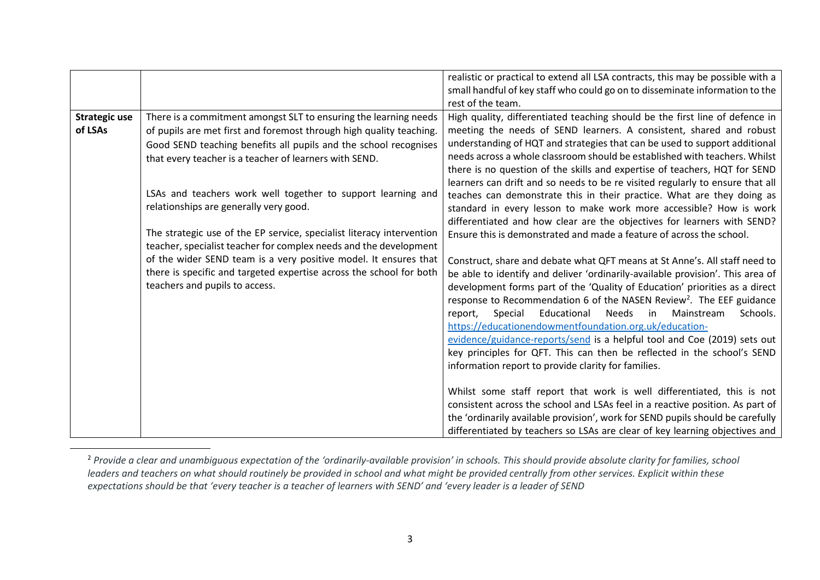|                                 |                                                                                                                                                                                                                                                                       | realistic or practical to extend all LSA contracts, this may be possible with a<br>small handful of key staff who could go on to disseminate information to the<br>rest of the team.                                                                                                                                                                                                                                                                                                                                                                                                                                                                                                     |
|---------------------------------|-----------------------------------------------------------------------------------------------------------------------------------------------------------------------------------------------------------------------------------------------------------------------|------------------------------------------------------------------------------------------------------------------------------------------------------------------------------------------------------------------------------------------------------------------------------------------------------------------------------------------------------------------------------------------------------------------------------------------------------------------------------------------------------------------------------------------------------------------------------------------------------------------------------------------------------------------------------------------|
| <b>Strategic use</b><br>of LSAs | There is a commitment amongst SLT to ensuring the learning needs<br>of pupils are met first and foremost through high quality teaching.<br>Good SEND teaching benefits all pupils and the school recognises<br>that every teacher is a teacher of learners with SEND. | High quality, differentiated teaching should be the first line of defence in<br>meeting the needs of SEND learners. A consistent, shared and robust<br>understanding of HQT and strategies that can be used to support additional<br>needs across a whole classroom should be established with teachers. Whilst<br>there is no question of the skills and expertise of teachers, HQT for SEND<br>learners can drift and so needs to be re visited regularly to ensure that all                                                                                                                                                                                                           |
|                                 | LSAs and teachers work well together to support learning and<br>relationships are generally very good.<br>The strategic use of the EP service, specialist literacy intervention<br>teacher, specialist teacher for complex needs and the development                  | teaches can demonstrate this in their practice. What are they doing as<br>standard in every lesson to make work more accessible? How is work<br>differentiated and how clear are the objectives for learners with SEND?<br>Ensure this is demonstrated and made a feature of across the school.                                                                                                                                                                                                                                                                                                                                                                                          |
|                                 | of the wider SEND team is a very positive model. It ensures that<br>there is specific and targeted expertise across the school for both<br>teachers and pupils to access.                                                                                             | Construct, share and debate what QFT means at St Anne's. All staff need to<br>be able to identify and deliver 'ordinarily-available provision'. This area of<br>development forms part of the 'Quality of Education' priorities as a direct<br>response to Recommendation 6 of the NASEN Review <sup>2</sup> . The EEF guidance<br>Educational<br>Needs<br>Special<br>in in<br>Mainstream<br>Schools.<br>report,<br>https://educationendowmentfoundation.org.uk/education-<br>evidence/guidance-reports/send is a helpful tool and Coe (2019) sets out<br>key principles for QFT. This can then be reflected in the school's SEND<br>information report to provide clarity for families. |
|                                 |                                                                                                                                                                                                                                                                       | Whilst some staff report that work is well differentiated, this is not<br>consistent across the school and LSAs feel in a reactive position. As part of<br>the 'ordinarily available provision', work for SEND pupils should be carefully<br>differentiated by teachers so LSAs are clear of key learning objectives and                                                                                                                                                                                                                                                                                                                                                                 |

<sup>2</sup> *Provide a clear and unambiguous expectation of the 'ordinarily-available provision' in schools. This should provide absolute clarity for families, school*  leaders and teachers on what should routinely be provided in school and what might be provided centrally from other services. Explicit within these *expectations should be that 'every teacher is a teacher of learners with SEND' and 'every leader is a leader of SEND*

 $\overline{a}$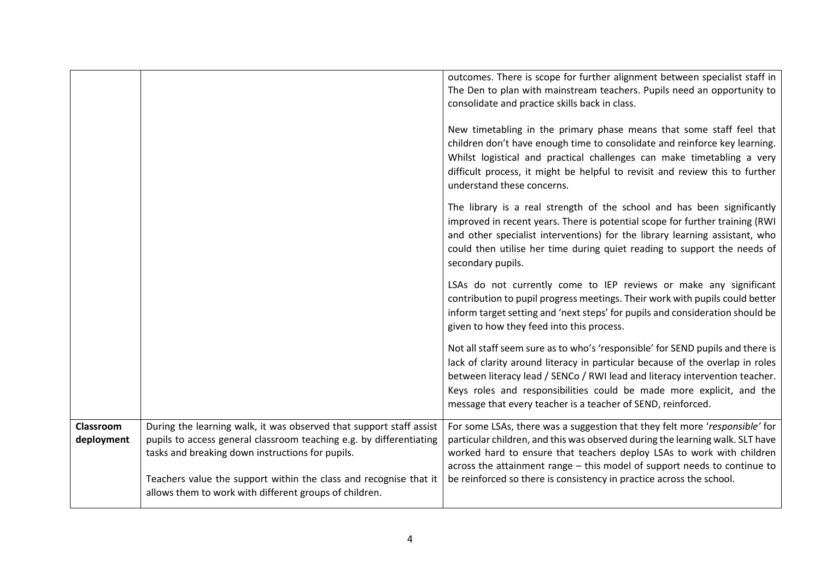|                         |                                                                                                                                                                                                                                                                                                                               | outcomes. There is scope for further alignment between specialist staff in<br>The Den to plan with mainstream teachers. Pupils need an opportunity to<br>consolidate and practice skills back in class.<br>New timetabling in the primary phase means that some staff feel that<br>children don't have enough time to consolidate and reinforce key learning.<br>Whilst logistical and practical challenges can make timetabling a very<br>difficult process, it might be helpful to revisit and review this to further<br>understand these concerns. |
|-------------------------|-------------------------------------------------------------------------------------------------------------------------------------------------------------------------------------------------------------------------------------------------------------------------------------------------------------------------------|-------------------------------------------------------------------------------------------------------------------------------------------------------------------------------------------------------------------------------------------------------------------------------------------------------------------------------------------------------------------------------------------------------------------------------------------------------------------------------------------------------------------------------------------------------|
|                         |                                                                                                                                                                                                                                                                                                                               | The library is a real strength of the school and has been significantly<br>improved in recent years. There is potential scope for further training (RWI<br>and other specialist interventions) for the library learning assistant, who<br>could then utilise her time during quiet reading to support the needs of<br>secondary pupils.                                                                                                                                                                                                               |
|                         |                                                                                                                                                                                                                                                                                                                               | LSAs do not currently come to IEP reviews or make any significant<br>contribution to pupil progress meetings. Their work with pupils could better<br>inform target setting and 'next steps' for pupils and consideration should be<br>given to how they feed into this process.                                                                                                                                                                                                                                                                       |
|                         |                                                                                                                                                                                                                                                                                                                               | Not all staff seem sure as to who's 'responsible' for SEND pupils and there is<br>lack of clarity around literacy in particular because of the overlap in roles<br>between literacy lead / SENCo / RWI lead and literacy intervention teacher.<br>Keys roles and responsibilities could be made more explicit, and the<br>message that every teacher is a teacher of SEND, reinforced.                                                                                                                                                                |
| Classroom<br>deployment | During the learning walk, it was observed that support staff assist<br>pupils to access general classroom teaching e.g. by differentiating<br>tasks and breaking down instructions for pupils.<br>Teachers value the support within the class and recognise that it<br>allows them to work with different groups of children. | For some LSAs, there was a suggestion that they felt more 'responsible' for<br>particular children, and this was observed during the learning walk. SLT have<br>worked hard to ensure that teachers deploy LSAs to work with children<br>across the attainment range - this model of support needs to continue to<br>be reinforced so there is consistency in practice across the school.                                                                                                                                                             |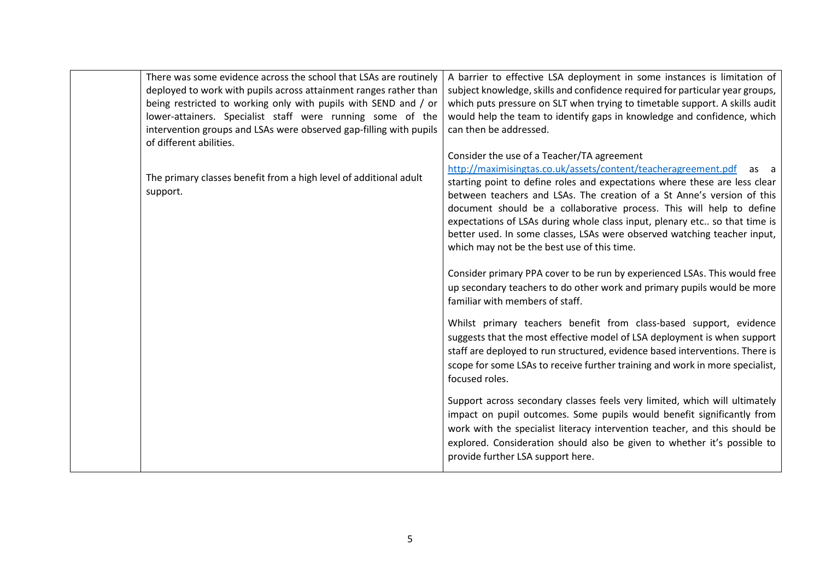| There was some evidence across the school that LSAs are routinely<br>deployed to work with pupils across attainment ranges rather than<br>being restricted to working only with pupils with SEND and / or<br>lower-attainers. Specialist staff were running some of the<br>intervention groups and LSAs were observed gap-filling with pupils<br>of different abilities. | A barrier to effective LSA deployment in some instances is limitation of<br>subject knowledge, skills and confidence required for particular year groups,<br>which puts pressure on SLT when trying to timetable support. A skills audit<br>would help the team to identify gaps in knowledge and confidence, which<br>can then be addressed.                                                                                                                                                                                                                 |
|--------------------------------------------------------------------------------------------------------------------------------------------------------------------------------------------------------------------------------------------------------------------------------------------------------------------------------------------------------------------------|---------------------------------------------------------------------------------------------------------------------------------------------------------------------------------------------------------------------------------------------------------------------------------------------------------------------------------------------------------------------------------------------------------------------------------------------------------------------------------------------------------------------------------------------------------------|
| The primary classes benefit from a high level of additional adult<br>support.                                                                                                                                                                                                                                                                                            | Consider the use of a Teacher/TA agreement<br>http://maximisingtas.co.uk/assets/content/teacheragreement.pdf<br>as a<br>starting point to define roles and expectations where these are less clear<br>between teachers and LSAs. The creation of a St Anne's version of this<br>document should be a collaborative process. This will help to define<br>expectations of LSAs during whole class input, plenary etc so that time is<br>better used. In some classes, LSAs were observed watching teacher input,<br>which may not be the best use of this time. |
|                                                                                                                                                                                                                                                                                                                                                                          | Consider primary PPA cover to be run by experienced LSAs. This would free<br>up secondary teachers to do other work and primary pupils would be more<br>familiar with members of staff.                                                                                                                                                                                                                                                                                                                                                                       |
|                                                                                                                                                                                                                                                                                                                                                                          | Whilst primary teachers benefit from class-based support, evidence<br>suggests that the most effective model of LSA deployment is when support<br>staff are deployed to run structured, evidence based interventions. There is<br>scope for some LSAs to receive further training and work in more specialist,<br>focused roles.                                                                                                                                                                                                                              |
|                                                                                                                                                                                                                                                                                                                                                                          | Support across secondary classes feels very limited, which will ultimately<br>impact on pupil outcomes. Some pupils would benefit significantly from<br>work with the specialist literacy intervention teacher, and this should be<br>explored. Consideration should also be given to whether it's possible to<br>provide further LSA support here.                                                                                                                                                                                                           |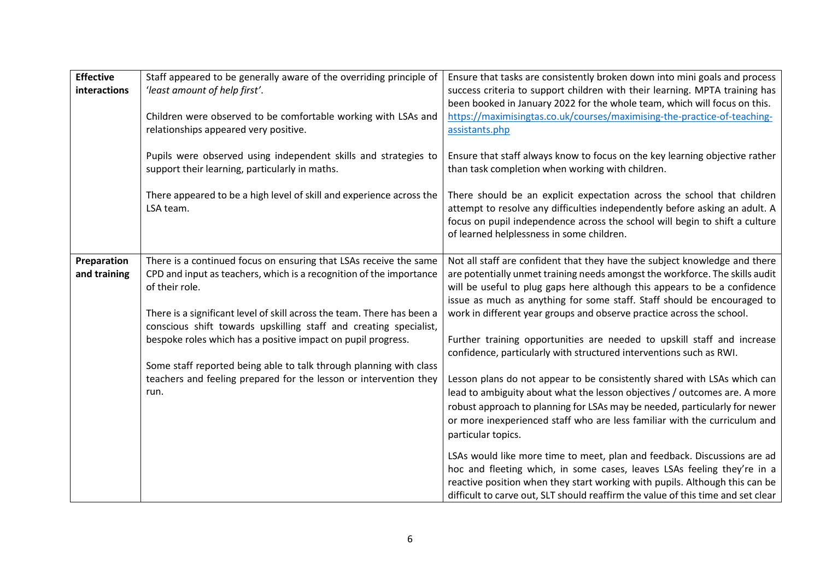| <b>Effective</b><br>interactions | Staff appeared to be generally aware of the overriding principle of<br>'least amount of help first'.<br>Children were observed to be comfortable working with LSAs and<br>relationships appeared very positive.                                                                                                                                                            | Ensure that tasks are consistently broken down into mini goals and process<br>success criteria to support children with their learning. MPTA training has<br>been booked in January 2022 for the whole team, which will focus on this.<br>https://maximisingtas.co.uk/courses/maximising-the-practice-of-teaching-<br>assistants.php                                                                                                                                   |
|----------------------------------|----------------------------------------------------------------------------------------------------------------------------------------------------------------------------------------------------------------------------------------------------------------------------------------------------------------------------------------------------------------------------|------------------------------------------------------------------------------------------------------------------------------------------------------------------------------------------------------------------------------------------------------------------------------------------------------------------------------------------------------------------------------------------------------------------------------------------------------------------------|
|                                  | Pupils were observed using independent skills and strategies to<br>support their learning, particularly in maths.                                                                                                                                                                                                                                                          | Ensure that staff always know to focus on the key learning objective rather<br>than task completion when working with children.                                                                                                                                                                                                                                                                                                                                        |
|                                  | There appeared to be a high level of skill and experience across the<br>LSA team.                                                                                                                                                                                                                                                                                          | There should be an explicit expectation across the school that children<br>attempt to resolve any difficulties independently before asking an adult. A<br>focus on pupil independence across the school will begin to shift a culture<br>of learned helplessness in some children.                                                                                                                                                                                     |
| Preparation<br>and training      | There is a continued focus on ensuring that LSAs receive the same<br>CPD and input as teachers, which is a recognition of the importance<br>of their role.<br>There is a significant level of skill across the team. There has been a<br>conscious shift towards upskilling staff and creating specialist,<br>bespoke roles which has a positive impact on pupil progress. | Not all staff are confident that they have the subject knowledge and there<br>are potentially unmet training needs amongst the workforce. The skills audit<br>will be useful to plug gaps here although this appears to be a confidence<br>issue as much as anything for some staff. Staff should be encouraged to<br>work in different year groups and observe practice across the school.<br>Further training opportunities are needed to upskill staff and increase |
|                                  | Some staff reported being able to talk through planning with class<br>teachers and feeling prepared for the lesson or intervention they<br>run.                                                                                                                                                                                                                            | confidence, particularly with structured interventions such as RWI.<br>Lesson plans do not appear to be consistently shared with LSAs which can<br>lead to ambiguity about what the lesson objectives / outcomes are. A more<br>robust approach to planning for LSAs may be needed, particularly for newer<br>or more inexperienced staff who are less familiar with the curriculum and<br>particular topics.                                                          |
|                                  |                                                                                                                                                                                                                                                                                                                                                                            | LSAs would like more time to meet, plan and feedback. Discussions are ad<br>hoc and fleeting which, in some cases, leaves LSAs feeling they're in a<br>reactive position when they start working with pupils. Although this can be<br>difficult to carve out, SLT should reaffirm the value of this time and set clear                                                                                                                                                 |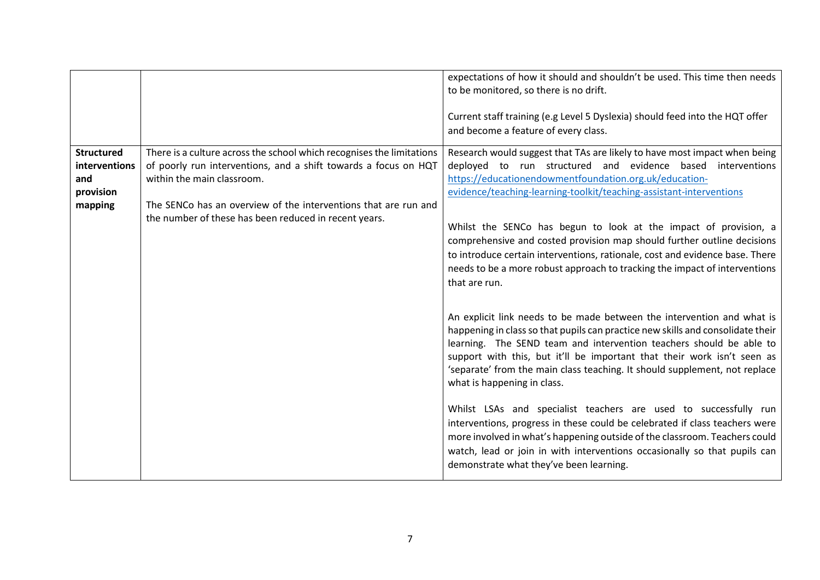|                                                                   |                                                                                                                                                                                                                                                                                                    | expectations of how it should and shouldn't be used. This time then needs<br>to be monitored, so there is no drift.<br>Current staff training (e.g Level 5 Dyslexia) should feed into the HQT offer<br>and become a feature of every class.                                                                                                                                                                                                                                                                                                                                                                                                                                                                                                                                       |
|-------------------------------------------------------------------|----------------------------------------------------------------------------------------------------------------------------------------------------------------------------------------------------------------------------------------------------------------------------------------------------|-----------------------------------------------------------------------------------------------------------------------------------------------------------------------------------------------------------------------------------------------------------------------------------------------------------------------------------------------------------------------------------------------------------------------------------------------------------------------------------------------------------------------------------------------------------------------------------------------------------------------------------------------------------------------------------------------------------------------------------------------------------------------------------|
| <b>Structured</b><br>interventions<br>and<br>provision<br>mapping | There is a culture across the school which recognises the limitations<br>of poorly run interventions, and a shift towards a focus on HQT<br>within the main classroom.<br>The SENCo has an overview of the interventions that are run and<br>the number of these has been reduced in recent years. | Research would suggest that TAs are likely to have most impact when being<br>deployed to run structured and evidence based interventions<br>https://educationendowmentfoundation.org.uk/education-<br>evidence/teaching-learning-toolkit/teaching-assistant-interventions<br>Whilst the SENCo has begun to look at the impact of provision, a<br>comprehensive and costed provision map should further outline decisions<br>to introduce certain interventions, rationale, cost and evidence base. There<br>needs to be a more robust approach to tracking the impact of interventions<br>that are run.                                                                                                                                                                           |
|                                                                   |                                                                                                                                                                                                                                                                                                    | An explicit link needs to be made between the intervention and what is<br>happening in class so that pupils can practice new skills and consolidate their<br>learning. The SEND team and intervention teachers should be able to<br>support with this, but it'll be important that their work isn't seen as<br>'separate' from the main class teaching. It should supplement, not replace<br>what is happening in class.<br>Whilst LSAs and specialist teachers are used to successfully run<br>interventions, progress in these could be celebrated if class teachers were<br>more involved in what's happening outside of the classroom. Teachers could<br>watch, lead or join in with interventions occasionally so that pupils can<br>demonstrate what they've been learning. |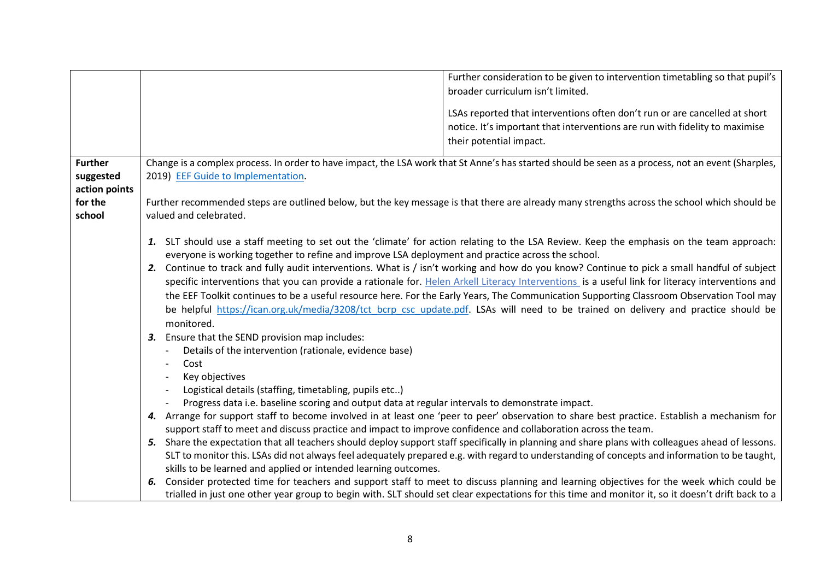|                |                                                                                                                                              | Further consideration to be given to intervention timetabling so that pupil's<br>broader curriculum isn't limited.                                 |  |
|----------------|----------------------------------------------------------------------------------------------------------------------------------------------|----------------------------------------------------------------------------------------------------------------------------------------------------|--|
|                |                                                                                                                                              |                                                                                                                                                    |  |
|                |                                                                                                                                              | LSAs reported that interventions often don't run or are cancelled at short                                                                         |  |
|                |                                                                                                                                              | notice. It's important that interventions are run with fidelity to maximise                                                                        |  |
|                |                                                                                                                                              | their potential impact.                                                                                                                            |  |
| <b>Further</b> |                                                                                                                                              | Change is a complex process. In order to have impact, the LSA work that St Anne's has started should be seen as a process, not an event (Sharples, |  |
| suggested      | 2019) EEF Guide to Implementation.                                                                                                           |                                                                                                                                                    |  |
| action points  |                                                                                                                                              |                                                                                                                                                    |  |
| for the        | Further recommended steps are outlined below, but the key message is that there are already many strengths across the school which should be |                                                                                                                                                    |  |
| school         | valued and celebrated.                                                                                                                       |                                                                                                                                                    |  |
|                |                                                                                                                                              | 1. SLT should use a staff meeting to set out the 'climate' for action relating to the LSA Review. Keep the emphasis on the team approach:          |  |
|                | everyone is working together to refine and improve LSA deployment and practice across the school.                                            |                                                                                                                                                    |  |
|                | 2. Continue to track and fully audit interventions. What is / isn't working and how do you know? Continue to pick a small handful of subject |                                                                                                                                                    |  |
|                |                                                                                                                                              | specific interventions that you can provide a rationale for. Helen Arkell Literacy Interventions is a useful link for literacy interventions and   |  |
|                |                                                                                                                                              | the EEF Toolkit continues to be a useful resource here. For the Early Years, The Communication Supporting Classroom Observation Tool may           |  |
|                |                                                                                                                                              | be helpful https://ican.org.uk/media/3208/tct bcrp csc update.pdf. LSAs will need to be trained on delivery and practice should be                 |  |
|                | monitored.                                                                                                                                   |                                                                                                                                                    |  |
|                | Ensure that the SEND provision map includes:<br>З.                                                                                           |                                                                                                                                                    |  |
|                | Details of the intervention (rationale, evidence base)                                                                                       |                                                                                                                                                    |  |
|                | Cost<br>$\overline{\phantom{a}}$<br>Key objectives                                                                                           |                                                                                                                                                    |  |
|                | Logistical details (staffing, timetabling, pupils etc)                                                                                       |                                                                                                                                                    |  |
|                | Progress data i.e. baseline scoring and output data at regular intervals to demonstrate impact.                                              |                                                                                                                                                    |  |
|                |                                                                                                                                              | 4. Arrange for support staff to become involved in at least one 'peer to peer' observation to share best practice. Establish a mechanism for       |  |
|                | support staff to meet and discuss practice and impact to improve confidence and collaboration across the team.                               |                                                                                                                                                    |  |
|                |                                                                                                                                              | 5. Share the expectation that all teachers should deploy support staff specifically in planning and share plans with colleagues ahead of lessons.  |  |
|                |                                                                                                                                              | SLT to monitor this. LSAs did not always feel adequately prepared e.g. with regard to understanding of concepts and information to be taught,      |  |
|                | skills to be learned and applied or intended learning outcomes.                                                                              |                                                                                                                                                    |  |
|                | 6.                                                                                                                                           | Consider protected time for teachers and support staff to meet to discuss planning and learning objectives for the week which could be             |  |
|                |                                                                                                                                              | trialled in just one other year group to begin with. SLT should set clear expectations for this time and monitor it, so it doesn't drift back to a |  |